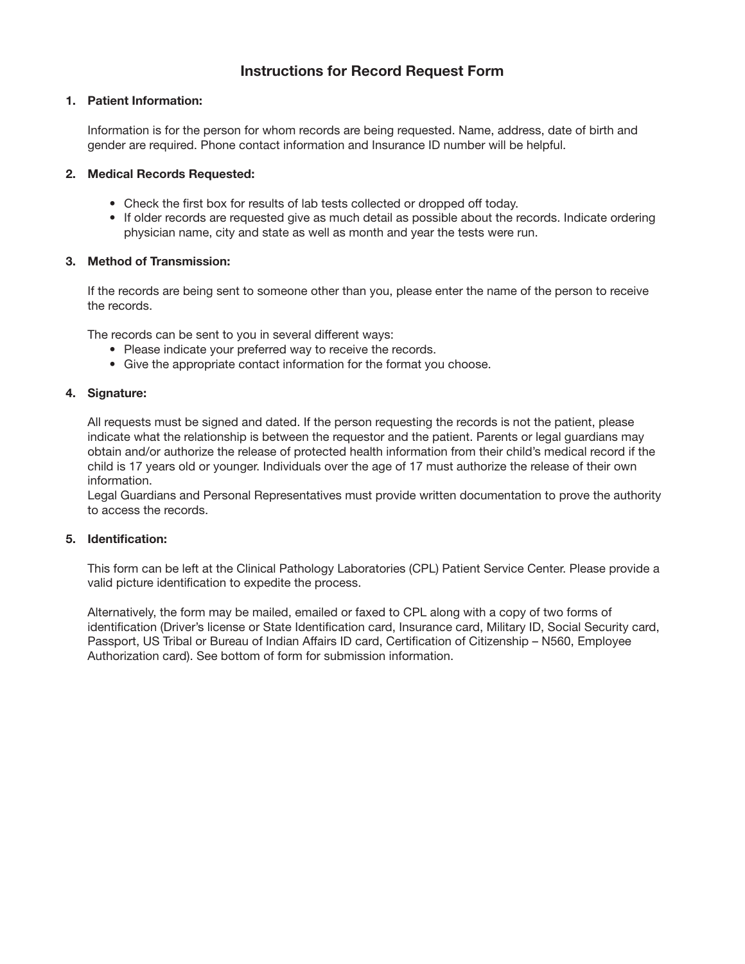# Instructions for Record Request Form

## 1. Patient Information:

Information is for the person for whom records are being requested. Name, address, date of birth and gender are required. Phone contact information and Insurance ID number will be helpful.

#### 2. Medical Records Requested:

- Check the first box for results of lab tests collected or dropped off today.
- If older records are requested give as much detail as possible about the records. Indicate ordering physician name, city and state as well as month and year the tests were run.

### 3. Method of Transmission:

If the records are being sent to someone other than you, please enter the name of the person to receive the records.

The records can be sent to you in several different ways:

- Please indicate your preferred way to receive the records.
- Give the appropriate contact information for the format you choose.

### 4. Signature:

All requests must be signed and dated. If the person requesting the records is not the patient, please indicate what the relationship is between the requestor and the patient. Parents or legal guardians may obtain and/or authorize the release of protected health information from their child's medical record if the child is 17 years old or younger. Individuals over the age of 17 must authorize the release of their own information.

Legal Guardians and Personal Representatives must provide written documentation to prove the authority to access the records.

## 5. Identification:

This form can be left at the Clinical Pathology Laboratories (CPL) Patient Service Center. Please provide a valid picture identification to expedite the process.

Alternatively, the form may be mailed, emailed or faxed to CPL along with a copy of two forms of identification (Driver's license or State Identification card, Insurance card, Military ID, Social Security card, Passport, US Tribal or Bureau of Indian Affairs ID card, Certification of Citizenship – N560, Employee Authorization card). See bottom of form for submission information.